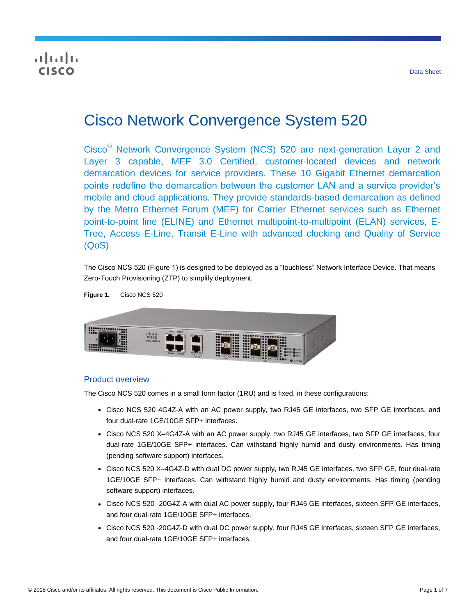## $\frac{1}{2}$ **CISCO**

# Cisco Network Convergence System 520

Cisco® Network Convergence System (NCS) 520 are next-generation Layer 2 and Layer 3 capable, MEF 3.0 Certified, customer-located devices and network demarcation devices for service providers. These 10 Gigabit Ethernet demarcation points redefine the demarcation between the customer LAN and a service provider's mobile and cloud applications. They provide standards-based demarcation as defined by the Metro Ethernet Forum (MEF) for Carrier Ethernet services such as Ethernet point-to-point line (ELINE) and Ethernet multipoint-to-multipoint (ELAN) services, E-Tree, Access E-Line, Transit E-Line with advanced clocking and Quality of Service (QoS).

The Cisco NCS 520 (Figure 1) is designed to be deployed as a "touchless" Network Interface Device. That means Zero-Touch Provisioning (ZTP) to simplify deployment.



#### Product overview

The Cisco NCS 520 comes in a small form factor (1RU) and is fixed, in these configurations:

- Cisco NCS 520 4G4Z-A with an AC power supply, two RJ45 GE interfaces, two SFP GE interfaces, and four dual-rate 1GE/10GE SFP+ interfaces.
- Cisco NCS 520 X-4G4Z-A with an AC power supply, two RJ45 GE interfaces, two SFP GE interfaces, four dual-rate 1GE/10GE SFP+ interfaces. Can withstand highly humid and dusty environments. Has timing (pending software support) interfaces.
- Cisco NCS 520 X-4G4Z-D with dual DC power supply, two RJ45 GE interfaces, two SFP GE, four dual-rate 1GE/10GE SFP+ interfaces. Can withstand highly humid and dusty environments. Has timing (pending software support) interfaces.
- Cisco NCS 520 -20G4Z-A with dual AC power supply, four RJ45 GE interfaces, sixteen SFP GE interfaces, and four dual-rate 1GE/10GE SFP+ interfaces.
- Cisco NCS 520 -20G4Z-D with dual DC power supply, four RJ45 GE interfaces, sixteen SFP GE interfaces, and four dual-rate 1GE/10GE SFP+ interfaces.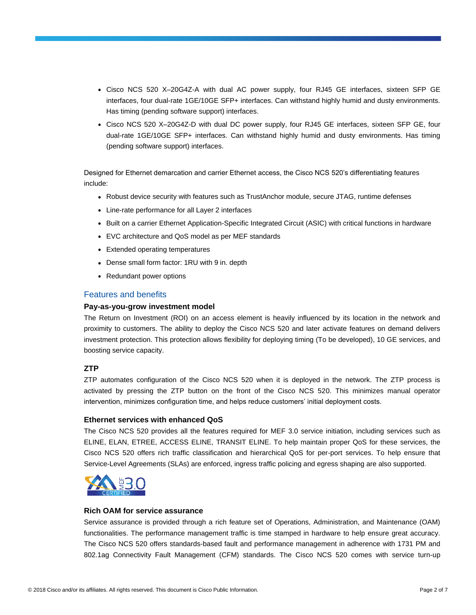- Cisco NCS 520 X-20G4Z-A with dual AC power supply, four RJ45 GE interfaces, sixteen SFP GE interfaces, four dual-rate 1GE/10GE SFP+ interfaces. Can withstand highly humid and dusty environments. Has timing (pending software support) interfaces.
- Cisco NCS 520 X–20G4Z-D with dual DC power supply, four RJ45 GE interfaces, sixteen SFP GE, four dual-rate 1GE/10GE SFP+ interfaces. Can withstand highly humid and dusty environments. Has timing (pending software support) interfaces.

Designed for Ethernet demarcation and carrier Ethernet access, the Cisco NCS 520's differentiating features include:

- Robust device security with features such as TrustAnchor module, secure JTAG, runtime defenses
- Line-rate performance for all Layer 2 interfaces
- Built on a carrier Ethernet Application-Specific Integrated Circuit (ASIC) with critical functions in hardware
- EVC architecture and QoS model as per MEF standards
- Extended operating temperatures
- Dense small form factor: 1RU with 9 in. depth
- Redundant power options

#### Features and benefits

#### **Pay-as-you-grow investment model**

The Return on Investment (ROI) on an access element is heavily influenced by its location in the network and proximity to customers. The ability to deploy the Cisco NCS 520 and later activate features on demand delivers investment protection. This protection allows flexibility for deploying timing (To be developed), 10 GE services, and boosting service capacity.

#### **ZTP**

ZTP automates configuration of the Cisco NCS 520 when it is deployed in the network. The ZTP process is activated by pressing the ZTP button on the front of the Cisco NCS 520. This minimizes manual operator intervention, minimizes configuration time, and helps reduce customers' initial deployment costs.

#### **Ethernet services with enhanced QoS**

The Cisco NCS 520 provides all the features required for MEF 3.0 service initiation, including services such as ELINE, ELAN, ETREE, ACCESS ELINE, TRANSIT ELINE. To help maintain proper QoS for these services, the Cisco NCS 520 offers rich traffic classification and hierarchical QoS for per-port services. To help ensure that Service-Level Agreements (SLAs) are enforced, ingress traffic policing and egress shaping are also supported.



#### **Rich OAM for service assurance**

Service assurance is provided through a rich feature set of Operations, Administration, and Maintenance (OAM) functionalities. The performance management traffic is time stamped in hardware to help ensure great accuracy. The Cisco NCS 520 offers standards-based fault and performance management in adherence with 1731 PM and 802.1ag Connectivity Fault Management (CFM) standards. The Cisco NCS 520 comes with service turn-up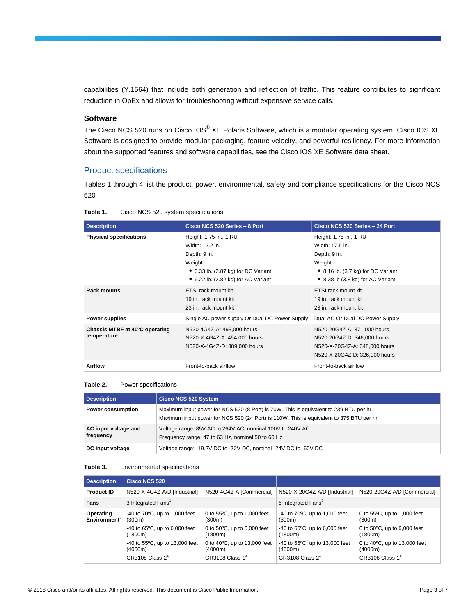capabilities (Y.1564) that include both generation and reflection of traffic. This feature contributes to significant reduction in OpEx and allows for troubleshooting without expensive service calls.

#### **Software**

The Cisco NCS 520 runs on Cisco IOS® XE Polaris Software, which is a modular operating system. Cisco IOS XE Software is designed to provide modular packaging, feature velocity, and powerful resiliency. For more information about the supported features and software capabilities, see the Cisco IOS XE Software data sheet.

#### Product specifications

Tables 1 through 4 list the product, power, environmental, safety and compliance specifications for the Cisco NCS 520

| <b>Description</b>                            | Cisco NCS 520 Series - 8 Port                                                                                                                                      | Cisco NCS 520 Series - 24 Port                                                                                                                  |
|-----------------------------------------------|--------------------------------------------------------------------------------------------------------------------------------------------------------------------|-------------------------------------------------------------------------------------------------------------------------------------------------|
| <b>Physical specifications</b>                | Height: 1.75 in., 1 RU<br>Width: 12.2 in.<br>Depth: 9 in.<br>Weight:<br>$\bullet$ 6.33 lb. (2.87 kg) for DC Variant<br>$\bullet$ 6.22 lb. (2.82 kg) for AC Variant | Height: 1.75 in., 1 RU<br>Width: 17.5 in.<br>Depth: 9 in.<br>Weight:<br>• 8.16 lb. (3.7 kg) for DC Variant<br>• 8.38 lb (3.8 kg) for AC Variant |
| <b>Rack mounts</b>                            | ETSI rack mount kit<br>19 in. rack mount kit<br>23 in. rack mount kit                                                                                              | ETSI rack mount kit<br>19 in. rack mount kit<br>23 in. rack mount kit                                                                           |
| <b>Power supplies</b>                         | Single AC power supply Or Dual DC Power Supply                                                                                                                     | Dual AC Or Dual DC Power Supply                                                                                                                 |
| Chassis MTBF at 40°C operating<br>temperature | N520-4G4Z-A: 493,000 hours<br>N520-X-4G4Z-A: 454,000 hours<br>N520-X-4G4Z-D: 389,000 hours                                                                         | N520-20G4Z-A: 371,000 hours<br>N520-20G4Z-D: 346,000 hours<br>N520-X-20G4Z-A: 348,000 hours<br>N520-X-20G4Z-D: 326,000 hours                    |
| <b>Airflow</b>                                | Front-to-back airflow                                                                                                                                              | Front-to-back airflow                                                                                                                           |

| Table 1. | Cisco NCS 520 system specifications |  |
|----------|-------------------------------------|--|
|          |                                     |  |

#### **Table 2.** Power specifications

| <b>Description</b>                | <b>Cisco NCS 520 System</b>                                                                                                                                                        |
|-----------------------------------|------------------------------------------------------------------------------------------------------------------------------------------------------------------------------------|
| Power consumption                 | Maximum input power for NCS 520 (8 Port) is 70W. This is equivalent to 239 BTU per hr.<br>Maximum input power for NCS 520 (24 Port) is 110W. This is equivalent to 375 BTU per hr. |
| AC input voltage and<br>frequency | Voltage range: 85V AC to 264V AC, nominal 100V to 240V AC<br>Frequency range: 47 to 63 Hz, nominal 50 to 60 Hz                                                                     |
| DC input voltage                  | Voltage range: -19.2V DC to -72V DC, nominal -24V DC to -60V DC                                                                                                                    |

#### **Table 3.** Environmental specifications

| <b>Description</b>                    | <b>Cisco NCS 520</b>                                                                                                                                                                                |                                                                                                                                                                                         |                                                                                                                                                                                                     |                                                                                                                                                                                         |
|---------------------------------------|-----------------------------------------------------------------------------------------------------------------------------------------------------------------------------------------------------|-----------------------------------------------------------------------------------------------------------------------------------------------------------------------------------------|-----------------------------------------------------------------------------------------------------------------------------------------------------------------------------------------------------|-----------------------------------------------------------------------------------------------------------------------------------------------------------------------------------------|
| <b>Product ID</b>                     | N520-X-4G4Z-A/D [Industrial]                                                                                                                                                                        | N520-4G4Z-A [Commercial]                                                                                                                                                                | N520-X-20G4Z-A/D [Industrial]                                                                                                                                                                       | N520-20G4Z-A/D [Commercial]                                                                                                                                                             |
| Fans                                  | 3 Integrated Fans <sup>1</sup>                                                                                                                                                                      |                                                                                                                                                                                         | 5 Integrated Fans <sup>2</sup>                                                                                                                                                                      |                                                                                                                                                                                         |
| Operating<br>Environment <sup>2</sup> | $-40$ to $70^{\circ}$ C, up to 1,000 feet<br>(300m)<br>$-40$ to 65 $\degree$ C, up to 6,000 feet<br>(1800m)<br>$-40$ to 55 $\degree$ C, up to 13,000 feet<br>(4000m)<br>GR3108 Class-2 <sup>4</sup> | 0 to $55^{\circ}$ C, up to 1,000 feet<br>(300m)<br>0 to $50^{\circ}$ C, up to 6,000 feet<br>(1800m)<br>0 to $40^{\circ}$ C, up to 13,000 feet<br>(4000m)<br>GR3108 Class-1 <sup>4</sup> | $-40$ to $70^{\circ}$ C, up to 1,000 feet<br>(300m)<br>$-40$ to 65 $\degree$ C, up to 6,000 feet<br>(1800m)<br>$-40$ to $55^{\circ}$ C, up to 13,000 feet<br>(4000m)<br>GR3108 Class-2 <sup>4</sup> | 0 to $55^{\circ}$ C, up to 1,000 feet<br>(300m)<br>0 to $50^{\circ}$ C, up to 6,000 feet<br>(1800m)<br>0 to $40^{\circ}$ C, up to 13,000 feet<br>(4000m)<br>GR3108 Class-1 <sup>4</sup> |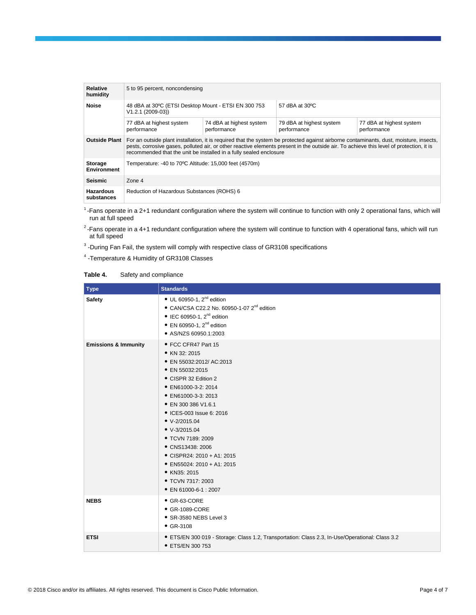| Relative                             | 5 to 95 percent, noncondensing                                                                                                                                                                                                                                                                                                                          |                                         |                                         |                                         |
|--------------------------------------|---------------------------------------------------------------------------------------------------------------------------------------------------------------------------------------------------------------------------------------------------------------------------------------------------------------------------------------------------------|-----------------------------------------|-----------------------------------------|-----------------------------------------|
| humidity<br><b>Noise</b>             | 48 dBA at 30°C (ETSI Desktop Mount - ETSI EN 300 753<br>$V1.2.1 (2009-03)$                                                                                                                                                                                                                                                                              |                                         | 57 dBA at 30°C                          |                                         |
|                                      | 77 dBA at highest system<br>performance                                                                                                                                                                                                                                                                                                                 | 74 dBA at highest system<br>performance | 79 dBA at highest system<br>performance | 77 dBA at highest system<br>performance |
| <b>Outside Plant</b>                 | For an outside plant installation, it is required that the system be protected against airborne contaminants, dust, moisture, insects,<br>pests, corrosive gases, polluted air, or other reactive elements present in the outside air. To achieve this level of protection, it is<br>recommended that the unit be installed in a fully sealed enclosure |                                         |                                         |                                         |
| <b>Storage</b><br><b>Environment</b> | Temperature: -40 to 70°C Altitude: 15,000 feet (4570m)                                                                                                                                                                                                                                                                                                  |                                         |                                         |                                         |
| <b>Seismic</b>                       | Zone 4                                                                                                                                                                                                                                                                                                                                                  |                                         |                                         |                                         |
| <b>Hazardous</b><br>substances       | Reduction of Hazardous Substances (ROHS) 6                                                                                                                                                                                                                                                                                                              |                                         |                                         |                                         |

1 -Fans operate in a 2+1 redundant configuration where the system will continue to function with only 2 operational fans, which will run at full speed

<sup>2</sup>-Fans operate in a 4+1 redundant configuration where the system will continue to function with 4 operational fans, which will run at full speed

 $3$  -During Fan Fail, the system will comply with respective class of GR3108 specifications

<sup>4</sup> -Temperature & Humidity of GR3108 Classes

#### **Table 4.** Safety and compliance

| <b>Type</b>                     | <b>Standards</b>                                                                                                                                                                                                                                                                                                                                                                                                            |
|---------------------------------|-----------------------------------------------------------------------------------------------------------------------------------------------------------------------------------------------------------------------------------------------------------------------------------------------------------------------------------------------------------------------------------------------------------------------------|
| <b>Safety</b>                   | $\bullet$ UL 60950-1, 2 <sup>nd</sup> edition<br>• CAN/CSA C22.2 No. 60950-1-07 2 <sup>nd</sup> edition<br>$\bullet$ IEC 60950-1, 2 <sup>nd</sup> edition<br>$\bullet$ EN 60950-1, 2 <sup>nd</sup> edition<br>● AS/NZS 60950.1:2003                                                                                                                                                                                         |
| <b>Emissions &amp; Immunity</b> | • FCC CFR47 Part 15<br>• KN 32: 2015<br>• EN 55032:2012/ AC:2013<br>• EN 55032:2015<br>• CISPR 32 Edition 2<br>● EN61000-3-2: 2014<br>• EN61000-3-3: 2013<br>• EN 300 386 V1.6.1<br>• ICES-003 Issue 6: 2016<br>$\bullet$ V-2/2015.04<br>• $V-3/2015.04$<br>• TCVN 7189: 2009<br>• CNS13438: 2006<br>• CISPR24: 2010 + A1: 2015<br>• EN55024: 2010 + A1: 2015<br>• KN35: 2015<br>• TCVN 7317: 2003<br>• EN 61000-6-1 : 2007 |
| <b>NEBS</b>                     | • GR-63-CORE<br>• GR-1089-CORE<br>• SR-3580 NEBS Level 3<br>$•$ GR-3108                                                                                                                                                                                                                                                                                                                                                     |
| <b>ETSI</b>                     | • ETS/EN 300 019 - Storage: Class 1.2, Transportation: Class 2.3, In-Use/Operational: Class 3.2<br>• ETS/EN 300 753                                                                                                                                                                                                                                                                                                         |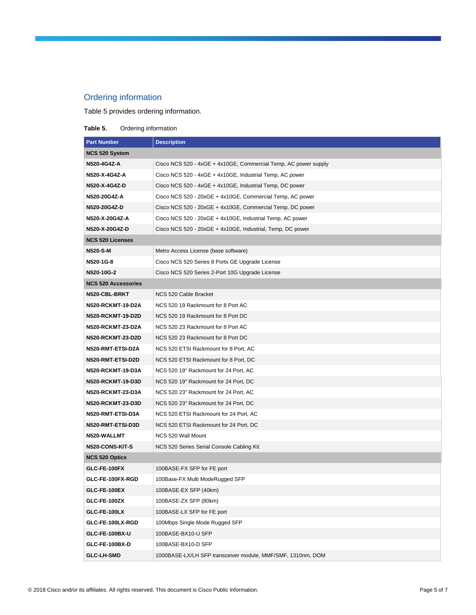### Ordering information

Table 5 provides ordering information.

#### **Table 5.** Ordering information

| <b>Part Number</b>         | <b>Description</b>                                              |
|----------------------------|-----------------------------------------------------------------|
| <b>NCS 520 System</b>      |                                                                 |
| N520-4G4Z-A                | Cisco NCS 520 - 4xGE + 4x10GE, Commercial Temp, AC power supply |
| N520-X-4G4Z-A              | Cisco NCS 520 - 4xGE + 4x10GE, Industrial Temp, AC power        |
| N520-X-4G4Z-D              | Cisco NCS 520 - 4xGE + 4x10GE, Industrial Temp, DC power        |
| N520-20G4Z-A               | Cisco NCS 520 - 20xGE + 4x10GE, Commercial Temp, AC power       |
| N520-20G4Z-D               | Cisco NCS 520 - 20xGE + 4x10GE, Commercial Temp, DC power       |
| N520-X-20G4Z-A             | Cisco NCS 520 - 20xGE + 4x10GE, Industrial Temp, AC power       |
| N520-X-20G4Z-D             | Cisco NCS 520 - 20xGE + 4x10GE, Industrial, Temp, DC power      |
| <b>NCS 520 Licenses</b>    |                                                                 |
| <b>N520-S-M</b>            | Metro Access License (base software)                            |
| N520-1G-8                  | Cisco NCS 520 Series 8 Ports GE Upgrade License                 |
| N520-10G-2                 | Cisco NCS 520 Series 2-Port 10G Upgrade License                 |
| <b>NCS 520 Accessories</b> |                                                                 |
| N520-CBL-BRKT              | NCS 520 Cable Bracket                                           |
| N520-RCKMT-19-D2A          | NCS 520 19 Rackmount for 8 Port AC                              |
| N520-RCKMT-19-D2D          | NCS 520 19 Rackmount for 8 Port DC                              |
| N520-RCKMT-23-D2A          | NCS 520 23 Rackmount for 8 Port AC                              |
| N520-RCKMT-23-D2D          | NCS 520 23 Rackmount for 8 Port DC                              |
| N520-RMT-ETSI-D2A          | NCS 520 ETSI Rackmount for 8 Port, AC                           |
| N520-RMT-ETSI-D2D          | NCS 520 ETSI Rackmount for 8 Port, DC                           |
| N520-RCKMT-19-D3A          | NCS 520 19" Rackmount for 24 Port, AC                           |
| N520-RCKMT-19-D3D          | NCS 520 19" Rackmount for 24 Port, DC                           |
| N520-RCKMT-23-D3A          | NCS 520 23" Rackmount for 24 Port, AC                           |
| <b>N520-RCKMT-23-D3D</b>   | NCS 520 23" Rackmount for 24 Port, DC                           |
| N520-RMT-ETSI-D3A          | NCS 520 ETSI Rackmount for 24 Port, AC                          |
| N520-RMT-ETSI-D3D          | NCS 520 ETSI Rackmount for 24 Port, DC                          |
| N520-WALLMT                | NCS 520 Wall Mount                                              |
| N520-CONS-KIT-S            | NCS 520 Series Serial Console Cabling Kit                       |
| <b>NCS 520 Optics</b>      |                                                                 |
| GLC-FE-100FX               | 100BASE-FX SFP for FE port                                      |
| GLC-FE-100FX-RGD           | 100Base-FX Multi ModeRugged SFP                                 |
| GLC-FE-100EX               | 100BASE-EX SFP (40km)                                           |
| GLC-FE-100ZX               | 100BASE-ZX SFP (80km)                                           |
| GLC-FE-100LX               | 100BASE-LX SFP for FE port                                      |
| GLC-FE-100LX-RGD           | 100Mbps Single Mode Rugged SFP                                  |
| GLC-FE-100BX-U             | 100BASE-BX10-U SFP                                              |
| GLC-FE-100BX-D             | 100BASE-BX10-D SFP                                              |
| <b>GLC-LH-SMD</b>          | 1000BASE-LX/LH SFP transceiver module, MMF/SMF, 1310nm, DOM     |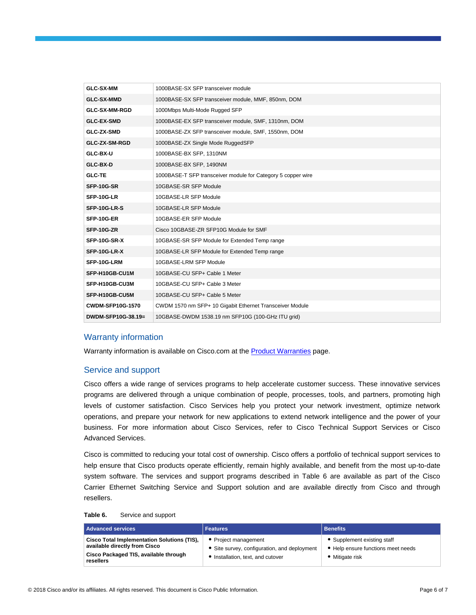| <b>GLC-SX-MM</b>        | 1000BASE-SX SFP transceiver module                           |
|-------------------------|--------------------------------------------------------------|
| <b>GLC-SX-MMD</b>       | 1000BASE-SX SFP transceiver module, MMF, 850nm, DOM          |
| <b>GLC-SX-MM-RGD</b>    | 1000Mbps Multi-Mode Rugged SFP                               |
| <b>GLC-EX-SMD</b>       | 1000BASE-EX SFP transceiver module, SMF, 1310nm, DOM         |
| <b>GLC-ZX-SMD</b>       | 1000BASE-ZX SFP transceiver module, SMF, 1550nm, DOM         |
| GLC-ZX-SM-RGD           | 1000BASE-ZX Single Mode RuggedSFP                            |
| GLC-BX-U                | 1000BASE-BX SFP, 1310NM                                      |
| GLC-BX-D                | 1000BASE-BX SFP, 1490NM                                      |
| <b>GLC-TE</b>           | 1000BASE-T SFP transceiver module for Category 5 copper wire |
| SFP-10G-SR              | 10GBASE-SR SFP Module                                        |
| SFP-10G-LR              | 10GBASE-LR SFP Module                                        |
| SFP-10G-LR-S            | 10GBASE-LR SFP Module                                        |
| SFP-10G-ER              | 10GBASE-ER SFP Module                                        |
| SFP-10G-ZR              | Cisco 10GBASE-ZR SFP10G Module for SMF                       |
| SFP-10G-SR-X            | 10GBASE-SR SFP Module for Extended Temp range                |
| SFP-10G-LR-X            | 10GBASE-LR SFP Module for Extended Temp range                |
| SFP-10G-LRM             | 10GBASE-LRM SFP Module                                       |
| SFP-H10GB-CU1M          | 10GBASE-CU SFP+ Cable 1 Meter                                |
| SFP-H10GB-CU3M          | 10GBASE-CU SFP+ Cable 3 Meter                                |
| SFP-H10GB-CU5M          | 10GBASE-CU SFP+ Cable 5 Meter                                |
| <b>CWDM-SFP10G-1570</b> | CWDM 1570 nm SFP+ 10 Gigabit Ethernet Transceiver Module     |
| DWDM-SFP10G-38.19=      | 10GBASE-DWDM 1538.19 nm SFP10G (100-GHz ITU grid)            |

#### Warranty information

Warranty information is available on Cisco.com at the [Product Warranties](https://www.cisco.com/en/US/products/prod_warranties_listing.html) page.

#### Service and support

Cisco offers a wide range of services programs to help accelerate customer success. These innovative services programs are delivered through a unique combination of people, processes, tools, and partners, promoting high levels of customer satisfaction. Cisco Services help you protect your network investment, optimize network operations, and prepare your network for new applications to extend network intelligence and the power of your business. For more information about Cisco Services, refer to Cisco Technical Support Services or Cisco Advanced Services.

Cisco is committed to reducing your total cost of ownership. Cisco offers a portfolio of technical support services to help ensure that Cisco products operate efficiently, remain highly available, and benefit from the most up-to-date system software. The services and support programs described in Table 6 are available as part of the Cisco Carrier Ethernet Switching Service and Support solution and are available directly from Cisco and through resellers.

#### **Table 6.** Service and support

| <b>Advanced services</b>                                                                                                                  | <b>Features</b>                                                                                         | <b>Benefits</b>                                                                    |
|-------------------------------------------------------------------------------------------------------------------------------------------|---------------------------------------------------------------------------------------------------------|------------------------------------------------------------------------------------|
| <b>Cisco Total Implementation Solutions (TIS),</b><br>available directly from Cisco<br>Cisco Packaged TIS, available through<br>resellers | • Project management<br>• Site survey, configuration, and deployment<br>Installation, text, and cutover | • Supplement existing staff<br>• Help ensure functions meet needs<br>Mitigate risk |